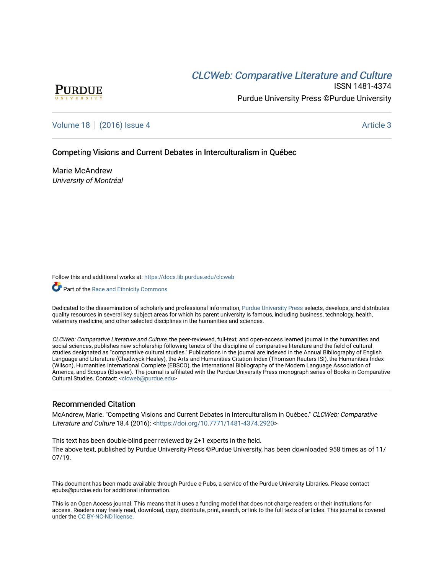# **CLCW[eb: Comparative Liter](https://docs.lib.purdue.edu/clcweb)ature and Culture**



ISSN 1481-4374 Purdue University Press ©Purdue University

[Volume 18](https://docs.lib.purdue.edu/clcweb/vol18) | [\(2016\) Issue 4](https://docs.lib.purdue.edu/clcweb/vol18/iss4) Article 3

Competing Visions and Current Debates in Interculturalism in Québec

Marie McAndrew University of Montréal

Follow this and additional works at: [https://docs.lib.purdue.edu/clcweb](https://docs.lib.purdue.edu/clcweb?utm_source=docs.lib.purdue.edu%2Fclcweb%2Fvol18%2Fiss4%2F3&utm_medium=PDF&utm_campaign=PDFCoverPages)

**Part of the [Race and Ethnicity Commons](http://network.bepress.com/hgg/discipline/426?utm_source=docs.lib.purdue.edu%2Fclcweb%2Fvol18%2Fiss4%2F3&utm_medium=PDF&utm_campaign=PDFCoverPages)** 

Dedicated to the dissemination of scholarly and professional information, [Purdue University Press](http://www.thepress.purdue.edu/) selects, develops, and distributes quality resources in several key subject areas for which its parent university is famous, including business, technology, health, veterinary medicine, and other selected disciplines in the humanities and sciences.

CLCWeb: Comparative Literature and Culture, the peer-reviewed, full-text, and open-access learned journal in the humanities and social sciences, publishes new scholarship following tenets of the discipline of comparative literature and the field of cultural studies designated as "comparative cultural studies." Publications in the journal are indexed in the Annual Bibliography of English Language and Literature (Chadwyck-Healey), the Arts and Humanities Citation Index (Thomson Reuters ISI), the Humanities Index (Wilson), Humanities International Complete (EBSCO), the International Bibliography of the Modern Language Association of America, and Scopus (Elsevier). The journal is affiliated with the Purdue University Press monograph series of Books in Comparative Cultural Studies. Contact: [<clcweb@purdue.edu](mailto:clcweb@purdue.edu)>

### Recommended Citation

McAndrew, Marie. "Competing Visions and Current Debates in Interculturalism in Québec." CLCWeb: Comparative Literature and Culture 18.4 (2016): <<https://doi.org/10.7771/1481-4374.2920>>

This text has been double-blind peer reviewed by 2+1 experts in the field. The above text, published by Purdue University Press ©Purdue University, has been downloaded 958 times as of 11/ 07/19.

This document has been made available through Purdue e-Pubs, a service of the Purdue University Libraries. Please contact epubs@purdue.edu for additional information.

This is an Open Access journal. This means that it uses a funding model that does not charge readers or their institutions for access. Readers may freely read, download, copy, distribute, print, search, or link to the full texts of articles. This journal is covered under the [CC BY-NC-ND license.](https://creativecommons.org/licenses/by-nc-nd/4.0/)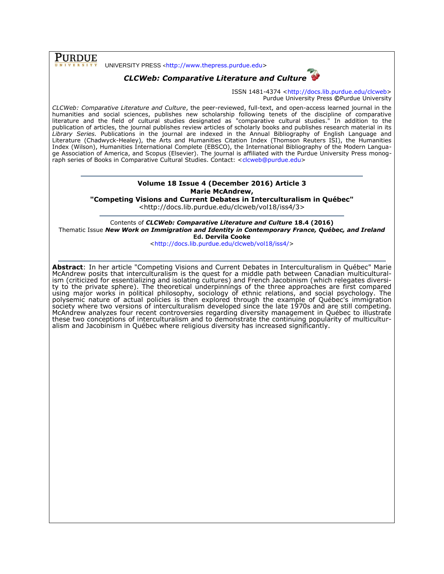**PURDUE** 

UNIVERSITY PRESS <[http://www.thepress.purdue.edu>](http://www.thepress.purdue.edu/)





ISSN 1481-4374 [<http://docs.lib.purdue.edu/clcweb>](http://docs.lib.purdue.edu/clcweb) Purdue University Press **©**Purdue University

*CLCWeb: Comparative Literature and Culture*, the peer-reviewed, full-text, and open-access learned journal in the humanities and social sciences, publishes new scholarship following tenets of the discipline of comparative literature and the field of cultural studies designated as "comparative cultural studies." In addition to the publication of articles, the journal publishes review articles of scholarly books and publishes research material in its *Library Series.* Publications in the journal are indexed in the Annual Bibliography of English Language and Literature (Chadwyck-Healey), the Arts and Humanities Citation Index (Thomson Reuters ISI), the Humanities Index (Wilson), Humanities International Complete (EBSCO), the International Bibliography of the Modern Language Association of America, and Scopus (Elsevier). The journal is affiliated with the Purdue University Press monog-raph series of Books in Comparative Cultural Studies. Contact: [<clcweb@purdue.edu>](mailto:clcweb@purdue.edu)

## **Volume 18 Issue 4 (December 2016) Article 3 Marie McAndrew,**

**"Competing Visions and Current Debates in Interculturalism in Québec"**

<http://docs.lib.purdue.edu/clcweb/vol18/iss4/3>

Contents of *CLCWeb: Comparative Literature and Culture* **18.4 (2016)** Thematic Issue *New Work on Immigration and Identity in Contemporary France, Québec, and Ireland* **Ed. Dervila Cooke**

[<http://docs.lib.purdue.edu/clcweb/vol18/iss4/>](http://docs.lib.purdue.edu/clcweb/vol18/iss4/)

**Abstract**: In her article "Competing Visions and Current Debates in Interculturalism in Québec" Marie McAndrew posits that interculturalism is the quest for a middle path between Canadian multiculturalism (criticized for essentializing and isolating cultures) and French Jacobinism (which relegates diversity to the private sphere). The theoretical underpinnings of the three approaches are first compared using major works in political philosophy, sociology of ethnic relations, and social psychology. The polysemic nature of actual policies is then explored through the example of Québec's immigration society where two versions of interculturalism developed since the late 1970s and are still competing. McAndrew analyzes four recent controversies regarding diversity management in Québec to illustrate these two conceptions of interculturalism and to demonstrate the continuing popularity of multiculturalism and Jacobinism in Québec where religious diversity has increased significantly.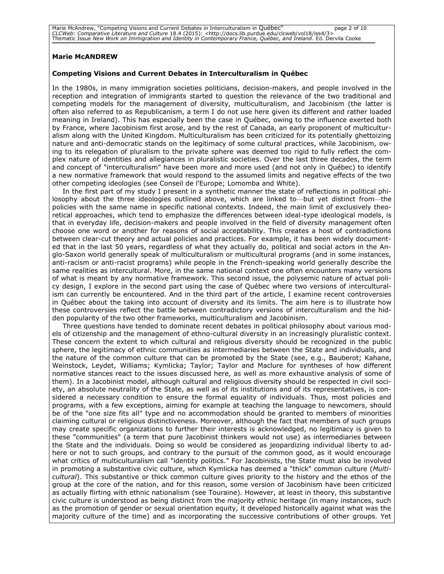Marie McAndrew, "Competing Visions and Current Debates in Interculturalism in Québec" [10] page 2 of 10<br>CLCWeb: Comparative Literature and Culture 18.4 (2015): <http://docs.lib.purdue.edu/clcweb/vol18/iss4/3><br>Thematic Issu

#### **Marie McANDREW**

#### **Competing Visions and Current Debates in Interculturalism in Québec**

In the 1980s, in many immigration societies politicians, decision-makers, and people involved in the reception and integration of immigrants started to question the relevance of the two traditional and competing models for the management of diversity, multiculturalism, and Jacobinism (the latter is often also referred to as Republicanism, a term I do not use here given its different and rather loaded meaning in Ireland). This has especially been the case in Québec, owing to the influence exerted both by France, where Jacobinism first arose, and by the rest of Canada, an early proponent of multiculturalism along with the United Kingdom. Multiculturalism has been criticized for its potentially ghettoizing nature and anti-democratic stands on the legitimacy of some cultural practices, while Jacobinism, owing to its relegation of pluralism to the private sphere was deemed too rigid to fully reflect the complex nature of identities and allegiances in pluralistic societies. Over the last three decades, the term and concept of "interculturalism" have been more and more used (and not only in Québec) to identify a new normative framework that would respond to the assumed limits and negative effects of the two other competing ideologies (see Conseil de l'Europe; Lomomba and White).

In the first part of my study I present in a synthetic manner the state of reflections in political philosophy about the three ideologies outlined above, which are linked to—but yet distinct from—the policies with the same name in specific national contexts. Indeed, the main limit of exclusively theoretical approaches, which tend to emphasize the differences between ideal-type ideological models, is that in everyday life, decision-makers and people involved in the field of diversity management often choose one word or another for reasons of social acceptability. This creates a host of contradictions between clear-cut theory and actual policies and practices. For example, it has been widely documented that in the last 50 years, regardless of what they actually do, political and social actors in the Anglo-Saxon world generally speak of multiculturalism or multicultural programs (and in some instances, anti-racism or anti-racist programs) while people in the French-speaking world generally describe the same realities as intercultural. More, in the same national context one often encounters many versions of what is meant by any normative framework. This second issue, the polysemic nature of actual policy design, I explore in the second part using the case of Québec where two versions of interculturalism can currently be encountered. And in the third part of the article, I examine recent controversies in Québec about the taking into account of diversity and its limits. The aim here is to illustrate how these controversies reflect the battle between contradictory versions of interculturalism and the hidden popularity of the two other frameworks, multiculturalism and Jacobinism.

Three questions have tended to dominate recent debates in political philosophy about various models of citizenship and the management of ethno-cultural diversity in an increasingly pluralistic context. These concern the extent to which cultural and religious diversity should be recognized in the public sphere, the legitimacy of ethnic communities as intermediaries between the State and individuals, and the nature of the common culture that can be promoted by the State (see, e.g., Bauberot; Kahane, Weinstock, Leydet, Williams; Kymlicka; Taylor; Taylor and Maclure for syntheses of how different normative stances react to the issues discussed here, as well as more exhaustive analysis of some of them). In a Jacobinist model, although cultural and religious diversity should be respected in civil society, an absolute neutrality of the State, as well as of its institutions and of its representatives, is considered a necessary condition to ensure the formal equality of individuals. Thus, most policies and programs, with a few exceptions, aiming for example at teaching the language to newcomers, should be of the "one size fits all" type and no accommodation should be granted to members of minorities claiming cultural or religious distinctiveness. Moreover, although the fact that members of such groups may create specific organizations to further their interests is acknowledged, no legitimacy is given to these "communities" (a term that pure Jacobinist thinkers would not use) as intermediaries between the State and the individuals. Doing so would be considered as jeopardizing individual liberty to adhere or not to such groups, and contrary to the pursuit of the common good, as it would encourage what critics of multiculturalism call "identity politics." For Jacobinists, the State must also be involved in promoting a substantive civic culture, which Kymlicka has deemed a "thick" common culture (*Multicultural*). This substantive or thick common culture gives priority to the history and the ethos of the group at the core of the nation, and for this reason, some version of Jacobinism have been criticized as actually flirting with ethnic nationalism (see Touraine). However, at least in theory, this substantive civic culture is understood as being distinct from the majority ethnic heritage (in many instances, such as the promotion of gender or sexual orientation equity, it developed historically against what was the majority culture of the time) and as incorporating the successive contributions of other groups. Yet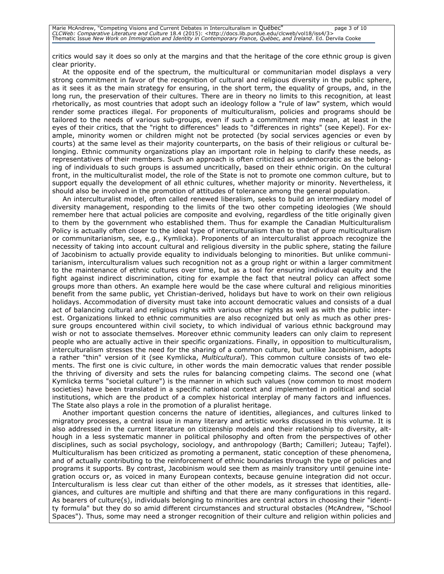critics would say it does so only at the margins and that the heritage of the core ethnic group is given clear priority.

At the opposite end of the spectrum, the multicultural or communitarian model displays a very strong commitment in favor of the recognition of cultural and religious diversity in the public sphere, as it sees it as the main strategy for ensuring, in the short term, the equality of groups, and, in the long run, the preservation of their cultures. There are in theory no limits to this recognition, at least rhetorically, as most countries that adopt such an ideology follow a "rule of law" system, which would render some practices illegal. For proponents of multiculturalism, policies and programs should be tailored to the needs of various sub-groups, even if such a commitment may mean, at least in the eyes of their critics, that the "right to differences" leads to "differences in rights" (see Kepel). For example, minority women or children might not be protected (by social services agencies or even by courts) at the same level as their majority counterparts, on the basis of their religious or cultural belonging. Ethnic community organizations play an important role in helping to clarify these needs, as representatives of their members. Such an approach is often criticized as undemocratic as the belonging of individuals to such groups is assumed uncritically, based on their ethnic origin. On the cultural front, in the multiculturalist model, the role of the State is not to promote one common culture, but to support equally the development of all ethnic cultures, whether majority or minority. Nevertheless, it should also be involved in the promotion of attitudes of tolerance among the general population.

An interculturalist model, often called renewed liberalism, seeks to build an intermediary model of diversity management, responding to the limits of the two other competing ideologies (We should remember here that actual policies are composite and evolving, regardless of the title originally given to them by the government who established them. Thus for example the Canadian Multiculturalism Policy is actually often closer to the ideal type of interculturalism than to that of pure multiculturalism or communitarianism, see, e.g., Kymlicka). Proponents of an interculturalist approach recognize the necessity of taking into account cultural and religious diversity in the public sphere, stating the failure of Jacobinism to actually provide equality to individuals belonging to minorities. But unlike communitarianism, interculturalism values such recognition not as a group right or within a larger commitment to the maintenance of ethnic cultures over time, but as a tool for ensuring individual equity and the fight against indirect discrimination, citing for example the fact that neutral policy can affect some groups more than others. An example here would be the case where cultural and religious minorities benefit from the same public, yet Christian-derived, holidays but have to work on their own religious holidays. Accommodation of diversity must take into account democratic values and consists of a dual act of balancing cultural and religious rights with various other rights as well as with the public interest. Organizations linked to ethnic communities are also recognized but only as much as other pressure groups encountered within civil society, to which individual of various ethnic background may wish or not to associate themselves. Moreover ethnic community leaders can only claim to represent people who are actually active in their specific organizations. Finally, in opposition to multiculturalism, interculturalism stresses the need for the sharing of a common culture, but unlike Jacobinism, adopts a rather "thin" version of it (see Kymlicka, *Multicultural*). This common culture consists of two elements. The first one is civic culture, in other words the main democratic values that render possible the thriving of diversity and sets the rules for balancing competing claims. The second one (what Kymlicka terms "societal culture") is the manner in which such values (now common to most modern societies) have been translated in a specific national context and implemented in political and social institutions, which are the product of a complex historical interplay of many factors and influences. The State also plays a role in the promotion of a pluralist heritage.

Another important question concerns the nature of identities, allegiances, and cultures linked to migratory processes, a central issue in many literary and artistic works discussed in this volume. It is also addressed in the current literature on citizenship models and their relationship to diversity, although in a less systematic manner in political philosophy and often from the perspectives of other disciplines, such as social psychology, sociology, and anthropology (Barth; Camilleri; Juteau; Tajfel). Multiculturalism has been criticized as promoting a permanent, static conception of these phenomena, and of actually contributing to the reinforcement of ethnic boundaries through the type of policies and programs it supports. By contrast, Jacobinism would see them as mainly transitory until genuine integration occurs or, as voiced in many European contexts, because genuine integration did not occur. Interculturalism is less clear cut than either of the other models, as it stresses that identities, allegiances, and cultures are multiple and shifting and that there are many configurations in this regard. As bearers of culture(s), individuals belonging to minorities are central actors in choosing their "identity formula" but they do so amid different circumstances and structural obstacles (McAndrew, "School Spaces"). Thus, some may need a stronger recognition of their culture and religion within policies and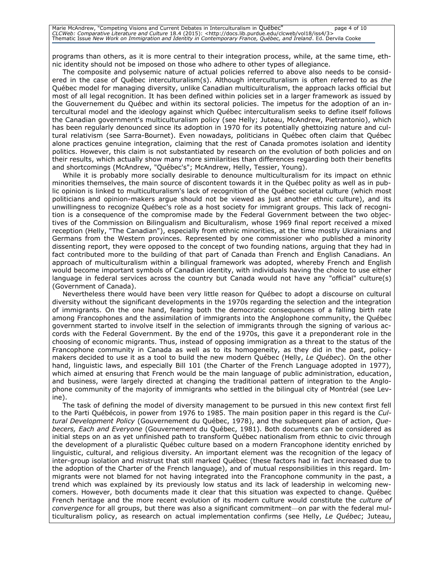Marie McAndrew, "Competing Visions and Current Debates in Interculturalism in Québec" page 4 of 10 CLCWeb: Comparative Literature and Culture 18.4 (2015): <http://docs.lib.purdue.edu/clcweb/vol18/iss4/3><br>Thematic Issue New Work on Immigration and Identity in Contemporary France, Québec, and Ireland. Ed. Dervila Cooke

programs than others, as it is more central to their integration process, while, at the same time, ethnic identity should not be imposed on those who adhere to other types of allegiance.

The composite and polysemic nature of actual policies referred to above also needs to be considered in the case of Québec interculturalism(s). Although interculturalism is often referred to as *the*  Québec model for managing diversity, unlike Canadian multiculturalism, the approach lacks official but most of all legal recognition. It has been defined within policies set in a larger framework as issued by the Gouvernement du Québec and within its sectoral policies. The impetus for the adoption of an intercultural model and the ideology against which Québec interculturalism seeks to define itself follows the Canadian government's multiculturalism policy (see Helly; Juteau, McAndrew, Pietrantonio), which has been regularly denounced since its adoption in 1970 for its potentially ghettoizing nature and cultural relativism (see Sarra-Bournet). Even nowadays, politicians in Québec often claim that Québec alone practices genuine integration, claiming that the rest of Canada promotes isolation and identity politics. However, this claim is not substantiated by research on the evolution of both policies and on their results, which actually show many more similarities than differences regarding both their benefits and shortcomings (McAndrew, "Québec's"; McAndrew, Helly, Tessier, Young).

While it is probably more socially desirable to denounce multiculturalism for its impact on ethnic minorities themselves, the main source of discontent towards it in the Québec polity as well as in public opinion is linked to multiculturalism's lack of recognition of the Québec societal culture (which most politicians and opinion-makers argue should not be viewed as just another ethnic culture), and its unwillingness to recognize Québec's role as a host society for immigrant groups. This lack of recognition is a consequence of the compromise made by the Federal Government between the two objectives of the Commission on Bilingualism and Biculturalism, whose 1969 final report received a mixed reception (Helly, "The Canadian"), especially from ethnic minorities, at the time mostly Ukrainians and Germans from the Western provinces. Represented by one commissioner who published a minority dissenting report, they were opposed to the concept of two founding nations, arguing that they had in fact contributed more to the building of that part of Canada than French and English Canadians. An approach of multiculturalism within a bilingual framework was adopted, whereby French and English would become important symbols of Canadian identity, with individuals having the choice to use either language in federal services across the country but Canada would not have any "official" culture(s) (Government of Canada).

Nevertheless there would have been very little reason for Québec to adopt a discourse on cultural diversity without the significant developments in the 1970s regarding the selection and the integration of immigrants. On the one hand, fearing both the democratic consequences of a falling birth rate among Francophones and the assimilation of immigrants into the Anglophone community, the Québec government started to involve itself in the selection of immigrants through the signing of various accords with the Federal Government. By the end of the 1970s, this gave it a preponderant role in the choosing of economic migrants. Thus, instead of opposing immigration as a threat to the status of the Francophone community in Canada as well as to its homogeneity, as they did in the past, policymakers decided to use it as a tool to build the new modern Québec (Helly, *Le Québec*). On the other hand, linguistic laws, and especially Bill 101 (the Charter of the French Language adopted in 1977), which aimed at ensuring that French would be the main language of public administration, education, and business, were largely directed at changing the traditional pattern of integration to the Anglophone community of the majority of immigrants who settled in the bilingual city of Montréal (see Levine).

The task of defining the model of diversity management to be pursued in this new context first fell to the Parti Québécois, in power from 1976 to 1985. The main position paper in this regard is the *Cultural Development Policy* (Gouvernement du Québec, 1978), and the subsequent plan of action, *Quebecers, Each and Everyone* (Gouvernement du Québec, 1981). Both documents can be considered as initial steps on an as yet unfinished path to transform Québec nationalism from ethnic to civic through the development of a pluralistic Québec culture based on a modern Francophone identity enriched by linguistic, cultural, and religious diversity. An important element was the recognition of the legacy of inter-group isolation and mistrust that still marked Québec (these factors had in fact increased due to the adoption of the Charter of the French language), and of mutual responsibilities in this regard. Immigrants were not blamed for not having integrated into the Francophone community in the past, a trend which was explained by its previously low status and its lack of leadership in welcoming newcomers. However, both documents made it clear that this situation was expected to change. Québec French heritage and the more recent evolution of its modern culture would constitute the *culture of convergence* for all groups, but there was also a significant commitment—on par with the federal multiculturalism policy, as research on actual implementation confirms (see Helly, *Le Québec*; Juteau,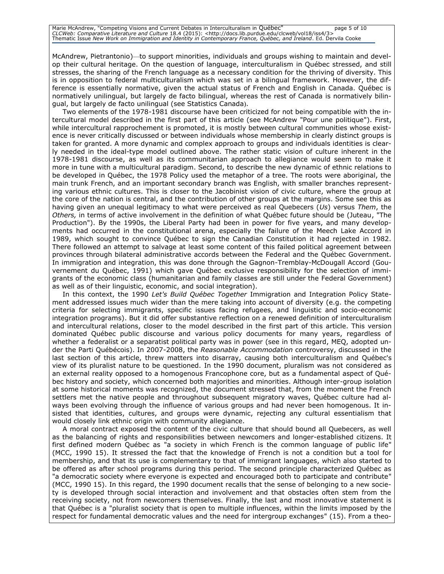McAndrew, Pietrantonio)—to support minorities, individuals and groups wishing to maintain and develop their cultural heritage. On the question of language, interculturalism in Québec stressed, and still stresses, the sharing of the French language as a necessary condition for the thriving of diversity. This is in opposition to federal multiculturalism which was set in a bilingual framework. However, the difference is essentially normative, given the actual status of French and English in Canada. Québec is normatively unilingual, but largely de facto bilingual, whereas the rest of Canada is normatively bilingual, but largely de facto unilingual (see Statistics Canada).

Two elements of the 1978-1981 discourse have been criticized for not being compatible with the intercultural model described in the first part of this article (see McAndrew "Pour une politique"). First, while intercultural rapprochement is promoted, it is mostly between cultural communities whose existence is never critically discussed or between individuals whose membership in clearly distinct groups is taken for granted. A more dynamic and complex approach to groups and individuals identities is clearly needed in the ideal-type model outlined above. The rather static vision of culture inherent in the 1978-1981 discourse, as well as its communitarian approach to allegiance would seem to make it more in tune with a multicultural paradigm. Second, to describe the new dynamic of ethnic relations to be developed in Québec, the 1978 Policy used the metaphor of a tree. The roots were aboriginal, the main trunk French, and an important secondary branch was English, with smaller branches representing various ethnic cultures. This is closer to the Jacobinist vision of civic culture, where the group at the core of the nation is central, and the contribution of other groups at the margins. Some see this as having given an unequal legitimacy to what were perceived as real Quebecers (*Us*) versus *Them*, the *Others,* in terms of active involvement in the definition of what Québec future should be (Juteau, "The Production"). By the 1990s, the Liberal Party had been in power for five years, and many developments had occurred in the constitutional arena, especially the failure of the Meech Lake Accord in 1989, which sought to convince Québec to sign the Canadian Constitution it had rejected in 1982. There followed an attempt to salvage at least some content of this failed political agreement between provinces through bilateral administrative accords between the Federal and the Québec Government. In immigration and integration, this was done through the Gagnon-Tremblay-McDougall Accord (Gouvernement du Québec, 1991) which gave Québec exclusive responsibility for the selection of immigrants of the economic class (humanitarian and family classes are still under the Federal Government) as well as of their linguistic, economic, and social integration).

In this context, the 1990 *Let's Build Québec Together* Immigration and Integration Policy Statement addressed issues much wider than the mere taking into account of diversity (e.g. the competing criteria for selecting immigrants, specific issues facing refugees, and linguistic and socio-economic integration programs). But it did offer substantive reflection on a renewed definition of interculturalism and intercultural relations, closer to the model described in the first part of this article. This version dominated Québec public discourse and various policy documents for many years, regardless of whether a federalist or a separatist political party was in power (see in this regard, MEQ, adopted under the Parti Québécois). In 2007-2008, the *Reasonable Accommodation* controversy, discussed in the last section of this article, threw matters into disarray, causing both interculturalism and Québec's view of its pluralist nature to be questioned. In the 1990 document, pluralism was not considered as an external reality opposed to a homogenous Francophone core, but as a fundamental aspect of Québec history and society, which concerned both majorities and minorities. Although inter-group isolation at some historical moments was recognized, the document stressed that, from the moment the French settlers met the native people and throughout subsequent migratory waves, Québec culture had always been evolving through the influence of various groups and had never been homogenous. It insisted that identities, cultures, and groups were dynamic, rejecting any cultural essentialism that would closely link ethnic origin with community allegiance.

A moral contract exposed the content of the civic culture that should bound all Quebecers, as well as the balancing of rights and responsibilities between newcomers and longer-established citizens. It first defined modern Québec as "a society in which French is the common language of public life" (MCC, 1990 15). It stressed the fact that the knowledge of French is not a condition but a tool for membership, and that its use is complementary to that of immigrant languages, which also started to be offered as after school programs during this period. The second principle characterized Québec as "a democratic society where everyone is expected and encouraged both to participate and contribute" (MCC, 1990 15). In this regard, the 1990 document recalls that the sense of belonging to a new society is developed through social interaction and involvement and that obstacles often stem from the receiving society, not from newcomers themselves. Finally, the last and most innovative statement is that Québec is a "pluralist society that is open to multiple influences, within the limits imposed by the respect for fundamental democratic values and the need for intergroup exchanges" (15). From a theo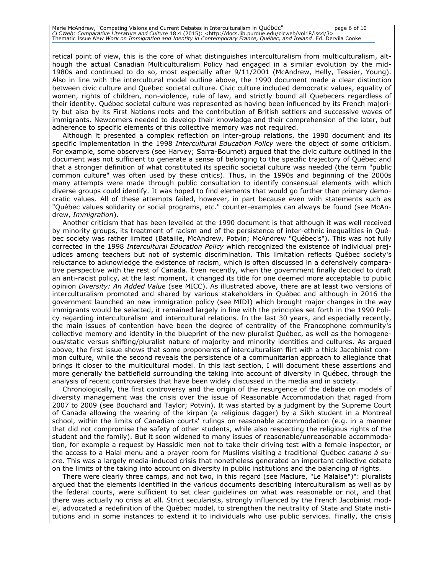Marie McAndrew, "Competing Visions and Current Debates in Interculturalism in Québec" page 6 of 10 CLCWeb: Comparative Literature and Culture 18.4 (2015): <http://docs.lib.purdue.edu/clcweb/vol18/iss4/3><br>Thematic Issue New Work on Immigration and Identity in Contemporary France, Québec, and Ireland. Ed. Dervila Cooke

retical point of view, this is the core of what distinguishes interculturalism from multiculturalism, although the actual Canadian Multiculturalism Policy had engaged in a similar evolution by the mid-1980s and continued to do so, most especially after 9/11/2001 (McAndrew, Helly, Tessier, Young). Also in line with the intercultural model outline above, the 1990 document made a clear distinction between civic culture and Québec societal culture. Civic culture included democratic values, equality of women, rights of children, non-violence, rule of law, and strictly bound all Quebecers regardless of their identity. Québec societal culture was represented as having been influenced by its French majority but also by its First Nations roots and the contribution of British settlers and successive waves of immigrants. Newcomers needed to develop their knowledge and their comprehension of the later, but adherence to specific elements of this collective memory was not required.

Although it presented a complex reflection on inter-group relations, the 1990 document and its specific implementation in the 1998 *Intercultural Education Policy* were the object of some criticism. For example, some observers (see Harvey; Sarra-Bournet) argued that the civic culture outlined in the document was not sufficient to generate a sense of belonging to the specific trajectory of Québec and that a stronger definition of what constituted its specific societal culture was needed (the term "public common culture" was often used by these critics). Thus, in the 1990s and beginning of the 2000s many attempts were made through public consultation to identify consensual elements with which diverse groups could identify. It was hoped to find elements that would go further than primary democratic values. All of these attempts failed, however, in part because even with statements such as "Québec values solidarity or social programs, etc." counter-examples can always be found (see McAndrew, *Immigration*).

Another criticism that has been levelled at the 1990 document is that although it was well received by minority groups, its treatment of racism and of the persistence of inter-ethnic inequalities in Québec society was rather limited (Bataille, McAndrew, Potvin; McAndrew "Québec's"). This was not fully corrected in the 1998 *Intercultural Education Policy* which recognized the existence of individual prejudices among teachers but not of systemic discrimination. This limitation reflects Québec society's reluctance to acknowledge the existence of racism, which is often discussed in a defensively comparative perspective with the rest of Canada. Even recently, when the government finally decided to draft an anti-racist policy, at the last moment, it changed its title for one deemed more acceptable to public opinion *Diversity: An Added Value* (see MICC). As illustrated above, there are at least two versions of interculturalism promoted and shared by various stakeholders in Québec and although in 2016 the government launched an new immigration policy (see MIDI) which brought major changes in the way immigrants would be selected, it remained largely in line with the principles set forth in the 1990 Policy regarding interculturalism and intercultural relations. In the last 30 years, and especially recently, the main issues of contention have been the degree of centrality of the Francophone community's collective memory and identity in the blueprint of the new pluralist Québec, as well as the homogeneous/static versus shifting/pluralist nature of majority and minority identities and cultures. As argued above, the first issue shows that some proponents of interculturalism flirt with a thick Jacobinist common culture, while the second reveals the persistence of a communitarian approach to allegiance that brings it closer to the multicultural model. In this last section, I will document these assertions and more generally the battlefield surrounding the taking into account of diversity in Québec, through the analysis of recent controversies that have been widely discussed in the media and in society.

Chronologically, the first controversy and the origin of the resurgence of the debate on models of diversity management was the crisis over the issue of Reasonable Accommodation that raged from 2007 to 2009 (see Bouchard and Taylor; Potvin). It was started by a judgment by the Supreme Court of Canada allowing the wearing of the kirpan (a religious dagger) by a Sikh student in a Montreal school, within the limits of Canadian courts' rulings on reasonable accommodation (e.g. in a manner that did not compromise the safety of other students, while also respecting the religious rights of the student and the family). But it soon widened to many issues of reasonable/unreasonable accommodation, for example a request by Hassidic men not to take their driving test with a female inspector, or the access to a Halal menu and a prayer room for Muslims visiting a traditional Québec *cabane à sucre*. This was a largely media-induced crisis that nonetheless generated an important collective debate on the limits of the taking into account on diversity in public institutions and the balancing of rights.

There were clearly three camps, and not two, in this regard (see Maclure, "Le Malaise")": pluralists argued that the elements identified in the various documents describing interculturalism as well as by the federal courts, were sufficient to set clear guidelines on what was reasonable or not, and that there was actually no crisis at all. Strict secularists, strongly influenced by the French Jacobinist model, advocated a redefinition of the Québec model, to strengthen the neutrality of State and State institutions and in some instances to extend it to individuals who use public services. Finally, the crisis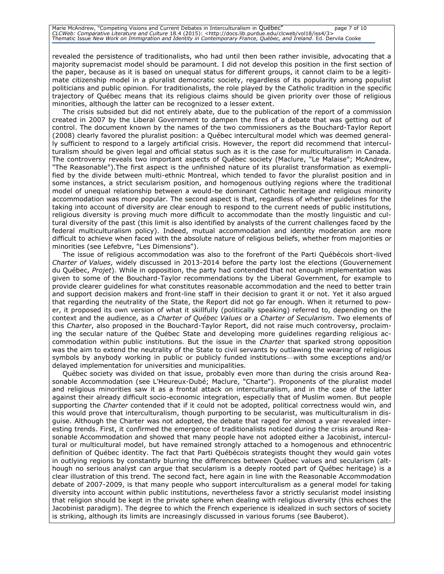Marie McAndrew, "Competing Visions and Current Debates in Interculturalism in Québec" page 7 of 10 CLCWeb: Comparative Literature and Culture 18.4 (2015): <http://docs.lib.purdue.edu/clcweb/vol18/iss4/3><br>Thematic Issue New Work on Immigration and Identity in Contemporary France, Québec, and Ireland. Ed. Dervila Cooke

revealed the persistence of traditionalists, who had until then been rather invisible, advocating that a majority supremacist model should be paramount. I did not develop this position in the first section of the paper, because as it is based on unequal status for different groups, it cannot claim to be a legitimate citizenship model in a pluralist democratic society, regardless of its popularity among populist politicians and public opinion. For traditionalists, the role played by the Catholic tradition in the specific trajectory of Québec means that its religious claims should be given priority over those of religious minorities, although the latter can be recognized to a lesser extent.

The crisis subsided but did not entirely abate, due to the publication of the report of a commission created in 2007 by the Liberal Government to dampen the fires of a debate that was getting out of control. The document known by the names of the two commissioners as the Bouchard-Taylor Report (2008) clearly favored the pluralist position: a Québec intercultural model which was deemed generally sufficient to respond to a largely artificial crisis. However, the report did recommend that interculturalism should be given legal and official status such as it is the case for multiculturalism in Canada. The controversy reveals two important aspects of Québec society (Maclure, "Le Malaise"; McAndrew, "The Reasonable").The first aspect is the unfinished nature of its pluralist transformation as exemplified by the divide between multi-ethnic Montreal, which tended to favor the pluralist position and in some instances, a strict secularism position, and homogenous outlying regions where the traditional model of unequal relationship between a would-be dominant Catholic heritage and religious minority accommodation was more popular. The second aspect is that, regardless of whether guidelines for the taking into account of diversity are clear enough to respond to the current needs of public institutions, religious diversity is proving much more difficult to accommodate than the mostly linguistic and cultural diversity of the past (this limit is also identified by analysts of the current challenges faced by the federal multiculturalism policy). Indeed, mutual accommodation and identity moderation are more difficult to achieve when faced with the absolute nature of religious beliefs, whether from majorities or minorities (see Lefebvre, "Les Dimensions").

The issue of religious accommodation was also to the forefront of the Parti Québécois short-lived *Charter of Values*, widely discussed in 2013-2014 before the party lost the elections (Gouvernement du Québec, *Projet*). While in opposition, the party had contended that not enough implementation was given to some of the Bouchard-Taylor recommendations by the Liberal Government, for example to provide clearer guidelines for what constitutes reasonable accommodation and the need to better train and support decision makers and front-line staff in their decision to grant it or not. Yet it also argued that regarding the neutrality of the State, the Report did not go far enough. When it returned to power, it proposed its own version of what it skillfully (politically speaking) referred to, depending on the context and the audience, as a *Charter of Québec Values* or a *Charter of Secularism*. Two elements of this *Charter*, also proposed in the Bouchard-Taylor Report, did not raise much controversy, proclaiming the secular nature of the Québec State and developing more guidelines regarding religious accommodation within public institutions. But the issue in the *Charter* that sparked strong opposition was the aim to extend the neutrality of the State to civil servants by outlawing the wearing of religious symbols by anybody working in public or publicly funded institutions—with some exceptions and/or delayed implementation for universities and municipalities.

Québec society was divided on that issue, probably even more than during the crisis around Reasonable Accommodation (see L'Heureux-Dubé; Maclure, "Charte"). Proponents of the pluralist model and religious minorities saw it as a frontal attack on interculturalism, and in the case of the latter against their already difficult socio-economic integration, especially that of Muslim women. But people supporting the *Charter* contended that if it could not be adopted, political correctness would win, and this would prove that interculturalism, though purporting to be secularist, was multiculturalism in disguise. Although the Charter was not adopted, the debate that raged for almost a year revealed interesting trends. First, it confirmed the emergence of traditionalists noticed during the crisis around Reasonable Accommodation and showed that many people have not adopted either a Jacobinist, intercultural or multicultural model, but have remained strongly attached to a homogenous and ethnocentric definition of Québec identity. The fact that Parti Québécois strategists thought they would gain votes in outlying regions by constantly blurring the differences between Québec values and secularism (although no serious analyst can argue that secularism is a deeply rooted part of Québec heritage) is a clear illustration of this trend. The second fact, here again in line with the Reasonable Accommodation debate of 2007-2009, is that many people who support interculturalism as a general model for taking diversity into account within public institutions, nevertheless favor a strictly secularist model insisting that religion should be kept in the private sphere when dealing with religious diversity (this echoes the Jacobinist paradigm). The degree to which the French experience is idealized in such sectors of society is striking, although its limits are increasingly discussed in various forums (see Bauberot).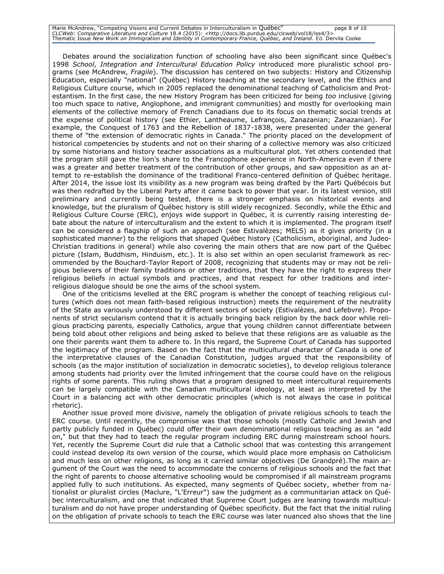Marie McAndrew, "Competing Visions and Current Debates in Interculturalism in Québec" page 8 of 10 CLCWeb: Comparative Literature and Culture 18.4 (2015): <http://docs.lib.purdue.edu/clcweb/vol18/iss4/3><br>Thematic Issue New Work on Immigration and Identity in Contemporary France, Québec, and Ireland. Ed. Dervila Cooke

Debates around the socialization function of schooling have also been significant since Québec's 1998 *School, Integration and Intercultural Education Policy* introduced more pluralistic school programs (see McAndrew, *Fragile*). The discussion has centered on two subjects: History and Citizenship Education, especially "national" (Québec) History teaching at the secondary level, and the Ethics and Religious Culture course, which in 2005 replaced the denominational teaching of Catholicism and Protestantism. In the first case, the new History Program has been criticized for being *too* inclusive (giving too much space to native, Anglophone, and immigrant communities) and mostly for overlooking main elements of the collective memory of French Canadians due to its focus on thematic social trends at the expense of political history (see Ethier, Lantheaume, Lefrançois, Zanazanian; Zanazanian). For example, the Conquest of 1763 and the Rebellion of 1837-1838, were presented under the general theme of "the extension of democratic rights in Canada." The priority placed on the development of historical competencies by students and not on their sharing of a collective memory was also criticized by some historians and history teacher associations as a multicultural plot*.* Yet others contended that the program still gave the lion's share to the Francophone experience in North-America even if there was a greater and better treatment of the contribution of other groups, and saw opposition as an attempt to re-establish the dominance of the traditional Franco-centered definition of Québec heritage. After 2014, the issue lost its visibility as a new program was being drafted by the Parti Québécois but was then redrafted by the Liberal Party after it came back to power that year. In its latest version, still preliminary and currently being tested, there is a stronger emphasis on historical events and knowledge, but the pluralism of Québec history is still widely recognized. Secondly, while the Ethic and Religious Culture Course (ERC), enjoys wide support in Québec, it is currently raising interesting debate about the nature of interculturalism and the extent to which it is implemented. The program itself can be considered a flagship of such an approach (see Estivalèzes; MELS) as it gives priority (in a sophisticated manner) to the religions that shaped Québec history (Catholicism, aboriginal, and Judeo-Christian traditions in general) while also covering the main others that are now part of the Québec picture (Islam, Buddhism, Hinduism, etc.). It is also set within an open secularist framework as recommended by the Bouchard-Taylor Report of 2008, recognizing that students may or may not be religious believers of their family traditions or other traditions, that they have the right to express their religious beliefs in actual symbols and practices, and that respect for other traditions and interreligious dialogue should be one the aims of the school system.

One of the criticisms levelled at the ERC program is whether the concept of teaching religious cultures (which does not mean faith-based religious instruction) meets the requirement of the neutrality of the State as variously understood by different sectors of society (Estivalèzes, and Lefebvre). Proponents of strict secularism contend that it is actually bringing back religion by the back door while religious practicing parents, especially Catholics, argue that young children cannot differentiate between being told about other religions and being asked to believe that these religions are as valuable as the one their parents want them to adhere to. In this regard, the Supreme Court of Canada has supported the legitimacy of the program. Based on the fact that the multicultural character of Canada is one of the interpretative clauses of the Canadian Constitution, judges argued that the responsibility of schools (as the major institution of socialization in democratic societies), to develop religious tolerance among students had priority over the limited infringement that the course could have on the religious rights of some parents. This ruling shows that a program designed to meet intercultural requirements can be largely compatible with the Canadian multicultural ideology, at least as interpreted by the Court in a balancing act with other democratic principles (which is not always the case in political rhetoric).

Another issue proved more divisive, namely the obligation of private religious schools to teach the ERC course. Until recently, the compromise was that those schools (mostly Catholic and Jewish and partly publicly funded in Québec) could offer their own denominational religious teaching as an "add on," but that they had to teach the regular program including ERC during mainstream school hours. Yet, recently the Supreme Court did rule that a Catholic school that was contesting this arrangement could instead develop its own version of the course, which would place more emphasis on Catholicism and much less on other religions, as long as it carried similar objectives (De Grandpré).The main argument of the Court was the need to accommodate the concerns of religious schools and the fact that the right of parents to choose alternative schooling would be compromised if all mainstream programs applied fully to such institutions. As expected, many segments of Québec society, whether from nationalist or pluralist circles (Maclure, "L'Erreur") saw the judgment as a communitarian attack on Québec interculturalism, and one that indicated that Supreme Court judges are leaning towards multiculturalism and do not have proper understanding of Québec specificity. But the fact that the initial ruling on the obligation of private schools to teach the ERC course was later nuanced also shows that the line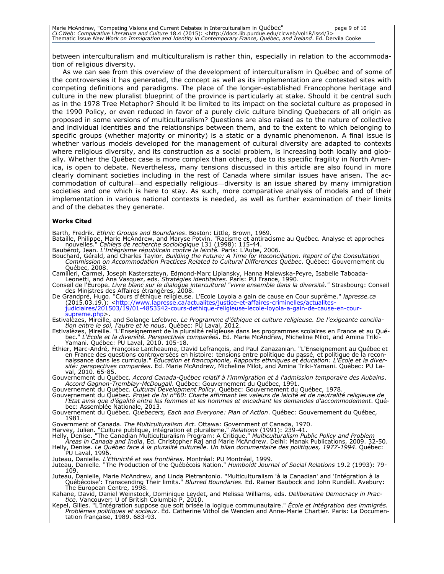between interculturalism and multiculturalism is rather thin, especially in relation to the accommodation of religious diversity.

As we can see from this overview of the development of interculturalism in Québec and of some of the controversies it has generated, the concept as well as its implementation are contested sites with competing definitions and paradigms. The place of the longer-established Francophone heritage and culture in the new pluralist blueprint of the province is particularly at stake. Should it be central such as in the 1978 Tree Metaphor? Should it be limited to its impact on the societal culture as proposed in the 1990 Policy, or even reduced in favor of a purely civic culture binding Quebecers of all origin as proposed in some versions of multiculturalism? Questions are also raised as to the nature of collective and individual identities and the relationships between them, and to the extent to which belonging to specific groups (whether majority or minority) is a static or a dynamic phenomenon. A final issue is whether various models developed for the management of cultural diversity are adapted to contexts where religious diversity, and its construction as a social problem, is increasing both locally and globally. Whether the Québec case is more complex than others, due to its specific fragility in North America, is open to debate. Nevertheless, many tensions discussed in this article are also found in more clearly dominant societies including in the rest of Canada where similar issues have arisen. The accommodation of cultural—and especially religious—diversity is an issue shared by many immigration societies and one which is here to stay. As such, more comparative analysis of models and of their implementation in various national contexts is needed, as well as further examination of their limits and of the debates they generate.

#### **Works Cited**

Barth, Fredrik. *Ethnic Groups and Boundaries*. Boston: Little, Brown, 1969.

Bataille, Philippe, Marie McAndrew, and Maryse Potvin. "Racisme et antiracisme au Québec. Analyse et approches nouvelles." *Cahiers de recherche sociologique* 131 (1998): 115-44.

Baubérot, Jean. *L'Intégrisme républicain contre la laïcité.* Paris: L'Aube, 2006.

Bouchard, Gérald, and Charles Taylor. *Building the Future: A Time for Reconciliation. Report of the Consultation Commission on Accommodation Practices Related to Cultural Differences Québec*. Québec: Gouvernement du Québec, 2008.

Camilleri, Carmel, Joseph Kasterszteyn, Edmond-Marc Lipiansky, Hanna Malewska-Peyre, Isabelle Taboada-Leonetti, and Ana Vasquez, eds. *Stratégies identitaires*. Paris: PU France, 1990.

Conseil de l'Europe. *Livre blanc sur le dialogue interculturel "vivre ensemble dans la diversité."* Strasbourg: Conseil des Ministres des Affaires étrangères, 2008.

De Grandpré, Hugo. "Cours d'éthique religieuse. L'Ecole Loyola a gain de cause en Cour suprême." *lapresse.ca* (2015.03.19.): <http://www.lapresse.ca/actualites/justice-et-affaires-criminelles/actualites-<br>[judiciaires/201503/19/01-4853542-cours-dethique-religieuse-lecole-loyola-a-gain-de-cause-en-cour](http://www.lapresse.ca/actualites/justice-et-affaires-criminelles/actualites-judiciaires/201503/19/01-4853542-cours-dethique-religieuse-lecole-loyola-a-gain-de-cause-en-cour-supreme.php)[supreme.php>](http://www.lapresse.ca/actualites/justice-et-affaires-criminelles/actualites-judiciaires/201503/19/01-4853542-cours-dethique-religieuse-lecole-loyola-a-gain-de-cause-en-cour-supreme.php).

Estivalèzes, Mireille, and Solange Lefebvre. *Le Programme d'éthique et culture religieuse. De l'exigeante conciliation entre le soi, l'autre et le nous*. Québec: PU Laval, 2012.

Estivalèzes, Mireille. "L'Enseignement de la pluralité religieuse dans les programmes scolaires en France et au Québec." *L'Ecole et la diversité. Perspectives comparées*. Ed. Marie McAndrew, Micheline Milot, and Amina Triki-<br>Yamani. Québec: PU Laval, 2010. 105-18.<br>Éthier, Marc-André, Françoise Lantheaume, David Lefrançois, and Paul Za

en France des questions controversées en histoire: tensions entre politique du passé, et politique de la reconnaissance dans les curricula." *Éducation et francophonie, Rapports ethniques et éducation: L'École et la diversité: perspectives comparées*. Ed. Marie McAndrew, Micheline Milot, and Amina Triki-Yamani. Québec: PU Laval, 2010. 65-85.

Gouvernement du Québec. *Accord Canada-Québec relatif à l'immigration et à l'admission temporaire des Aubains*. *Accord Gagnon-Tremblay-McDougall*. Québec: Gouvernement du Québec, 1991.

Gouvernement du Québec. *Cultural Development Policy*. Québec: Gouvernement du Québec, 1978. Gouvernement du Québec. *Projet de loi n°60: Charte affirmant les valeurs de laïcité et de neutralité religieuse de l'État ainsi que d'égalité entre les femmes et les hommes et encadrant les demandes d'accommodement*. Québec: Assemblée Nationale, 2013.

Gouvernement du Québec. *Quebecers, Each and Everyone: Plan of Action*. Québec: Gouvernement du Québec, 1981.

Government of Canada. *The Multiculturalism Act*. Ottawa: Government of Canada, 1970.

Harvey, Julien. "Culture publique, intégration et pluralisme." *Relations* (1991): 239-41.

Helly, Denise. "The Canadian Multiculturalism Program: A Critique." *Multiculturalism Public Policy and Problem Areas in Canada and India*. Ed. Christopher Raj and Marie McAndrew. Delhi: Manak Publications, 2009. 32-50. Helly, Denise. *Le Québec face à la pluralité culturelle. Un bilan documentaire des politiques, 1977-1994*. Québec:

PU Laval, 1996.

Juteau, Danielle. *L'Ethnicité et ses frontières*. Montréal: PU Montréal, 1999. Juteau, Danielle. "The Production of the Québécois Nation." *Humboldt Journal of Social Relations* 19.2 (1993): 79- 109.

Juteau, Danielle, Marie McAndrew, and Linda Pietrantonio. "Multiculturalism 'à la Canadian' and 'Intégration à la<br>Québécoise': Transcending Their limits." *Blurred Boundaries*. Ed. Rainer Baubock and John Rundell. Avebury: The European Centre, 1998.

Kahane, David, Daniel Weinstock, Dominique Leydet, and Melissa Williams, eds. *Deliberative Democracy in Practice*. Vancouver: U of British Columbia P, 2010.

Kepel, Gilles. "L'Intégration suppose que soit brisée la logique communautaire." *École et intégration des immigrés. Problèmes politiques et sociaux*. Ed. Catherine Vithol de Wenden and Anne-Marie Chartier. Paris: La Documentation française, 1989. 683-93.